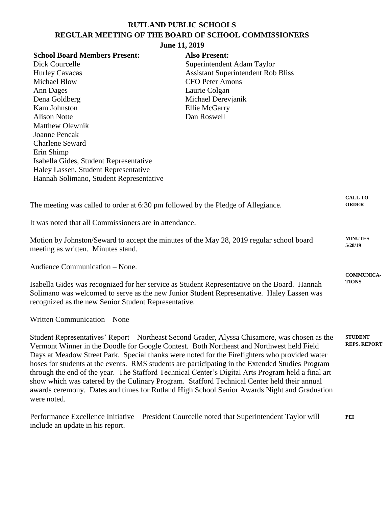# **RUTLAND PUBLIC SCHOOLS REGULAR MEETING OF THE BOARD OF SCHOOL COMMISSIONERS**

|                                                                                                    | Of the board of behood common             |                     |
|----------------------------------------------------------------------------------------------------|-------------------------------------------|---------------------|
| June 11, 2019                                                                                      |                                           |                     |
| <b>School Board Members Present:</b>                                                               | <b>Also Present:</b>                      |                     |
| Dick Courcelle                                                                                     | Superintendent Adam Taylor                |                     |
| <b>Hurley Cavacas</b>                                                                              | <b>Assistant Superintendent Rob Bliss</b> |                     |
| <b>Michael Blow</b>                                                                                | <b>CFO Peter Amons</b>                    |                     |
| <b>Ann Dages</b>                                                                                   | Laurie Colgan                             |                     |
| Dena Goldberg                                                                                      | Michael Derevjanik                        |                     |
| Kam Johnston                                                                                       | <b>Ellie McGarry</b>                      |                     |
| <b>Alison Notte</b>                                                                                | Dan Roswell                               |                     |
| <b>Matthew Olewnik</b>                                                                             |                                           |                     |
| <b>Joanne Pencak</b>                                                                               |                                           |                     |
| <b>Charlene Seward</b>                                                                             |                                           |                     |
| Erin Shimp                                                                                         |                                           |                     |
| Isabella Gides, Student Representative                                                             |                                           |                     |
| Haley Lassen, Student Representative                                                               |                                           |                     |
| Hannah Solimano, Student Representative                                                            |                                           |                     |
|                                                                                                    |                                           |                     |
|                                                                                                    |                                           | <b>CALL TO</b>      |
| The meeting was called to order at 6:30 pm followed by the Pledge of Allegiance.                   |                                           | <b>ORDER</b>        |
|                                                                                                    |                                           |                     |
| It was noted that all Commissioners are in attendance.                                             |                                           |                     |
|                                                                                                    |                                           |                     |
| Motion by Johnston/Seward to accept the minutes of the May 28, 2019 regular school board           |                                           | <b>MINUTES</b>      |
| meeting as written. Minutes stand.                                                                 |                                           | 5/28/19             |
|                                                                                                    |                                           |                     |
| Audience Communication - None.                                                                     |                                           |                     |
|                                                                                                    |                                           | <b>COMMUNICA-</b>   |
| Isabella Gides was recognized for her service as Student Representative on the Board. Hannah       |                                           | <b>TIONS</b>        |
| Solimano was welcomed to serve as the new Junior Student Representative. Haley Lassen was          |                                           |                     |
| recognized as the new Senior Student Representative.                                               |                                           |                     |
|                                                                                                    |                                           |                     |
| Written Communication – None                                                                       |                                           |                     |
|                                                                                                    |                                           |                     |
| Student Representatives' Report – Northeast Second Grader, Alyssa Chisamore, was chosen as the     |                                           | <b>STUDENT</b>      |
| Vermont Winner in the Doodle for Google Contest. Both Northeast and Northwest held Field           |                                           | <b>REPS. REPORT</b> |
| Days at Meadow Street Park. Special thanks were noted for the Firefighters who provided water      |                                           |                     |
| hoses for students at the events. RMS students are participating in the Extended Studies Program   |                                           |                     |
| through the end of the year. The Stafford Technical Center's Digital Arts Program held a final art |                                           |                     |
| show which was catered by the Culinary Program. Stafford Technical Center held their annual        |                                           |                     |
| awards ceremony. Dates and times for Rutland High School Senior Awards Night and Graduation        |                                           |                     |
| were noted.                                                                                        |                                           |                     |
|                                                                                                    |                                           |                     |

Performance Excellence Initiative – President Courcelle noted that Superintendent Taylor will include an update in his report. **PEI**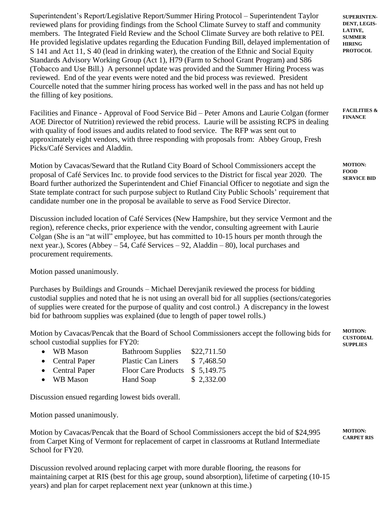Superintendent's Report/Legislative Report/Summer Hiring Protocol – Superintendent Taylor reviewed plans for providing findings from the School Climate Survey to staff and community members. The Integrated Field Review and the School Climate Survey are both relative to PEI. He provided legislative updates regarding the Education Funding Bill, delayed implementation of S 141 and Act 11, S 40 (lead in drinking water), the creation of the Ethnic and Social Equity Standards Advisory Working Group (Act 1), H79 (Farm to School Grant Program) and S86 (Tobacco and Use Bill.) A personnel update was provided and the Summer Hiring Process was reviewed. End of the year events were noted and the bid process was reviewed. President Courcelle noted that the summer hiring process has worked well in the pass and has not held up the filling of key positions.

Facilities and Finance - Approval of Food Service Bid – Peter Amons and Laurie Colgan (former AOE Director of Nutrition) reviewed the rebid process. Laurie will be assisting RCPS in dealing with quality of food issues and audits related to food service. The RFP was sent out to approximately eight vendors, with three responding with proposals from: Abbey Group, Fresh Picks/Café Services and Aladdin.

Motion by Cavacas/Seward that the Rutland City Board of School Commissioners accept the proposal of Café Services Inc. to provide food services to the District for fiscal year 2020. The Board further authorized the Superintendent and Chief Financial Officer to negotiate and sign the State template contract for such purpose subject to Rutland City Public Schools' requirement that candidate number one in the proposal be available to serve as Food Service Director.

Discussion included location of Café Services (New Hampshire, but they service Vermont and the region), reference checks, prior experience with the vendor, consulting agreement with Laurie Colgan (She is an "at will" employee, but has committed to 10-15 hours per month through the next year.), Scores (Abbey – 54, Café Services – 92, Aladdin – 80), local purchases and procurement requirements.

Motion passed unanimously.

Purchases by Buildings and Grounds – Michael Derevjanik reviewed the process for bidding custodial supplies and noted that he is not using an overall bid for all supplies (sections/categories of supplies were created for the purpose of quality and cost control.) A discrepancy in the lowest bid for bathroom supplies was explained (due to length of paper towel rolls.)

Motion by Cavacas/Pencak that the Board of School Commissioners accept the following bids for school custodial supplies for FY20:

| • WB Mason      | <b>Bathroom Supplies</b>   | \$22,711.50 |
|-----------------|----------------------------|-------------|
| • Central Paper | <b>Plastic Can Liners</b>  | \$7,468.50  |
| • Central Paper | <b>Floor Care Products</b> | \$5,149.75  |
| • WB Mason      | Hand Soap                  | \$2,332.00  |

Discussion ensued regarding lowest bids overall.

Motion passed unanimously.

Motion by Cavacas/Pencak that the Board of School Commissioners accept the bid of \$24,995 from Carpet King of Vermont for replacement of carpet in classrooms at Rutland Intermediate School for FY20.

Discussion revolved around replacing carpet with more durable flooring, the reasons for maintaining carpet at RIS (best for this age group, sound absorption), lifetime of carpeting (10-15 years) and plan for carpet replacement next year (unknown at this time.)

**SUPERINTEN-DENT, LEGIS-LATIVE, SUMMER HIRING PROTOCOL**

**FACILITIES & FINANCE**

**MOTION: FOOD SERVICE BID**

**MOTION: CUSTODIAL SUPPLIES**

**MOTION: CARPET RIS**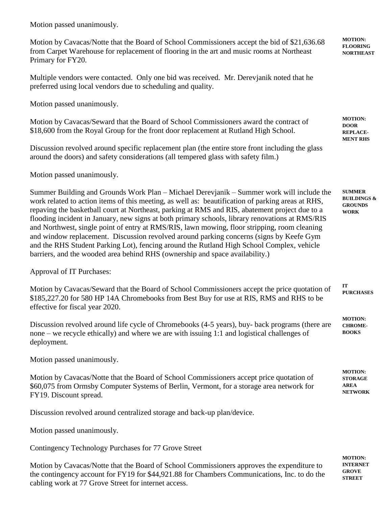Motion passed unanimously.

Motion by Cavacas/Notte that the Board of School Commissioners accept the bid of \$21,636.68 from Carpet Warehouse for replacement of flooring in the art and music rooms at Northeast Primary for FY20.

Multiple vendors were contacted. Only one bid was received. Mr. Derevjanik noted that he preferred using local vendors due to scheduling and quality.

Motion passed unanimously.

Motion by Cavacas/Seward that the Board of School Commissioners award the contract of \$18,600 from the Royal Group for the front door replacement at Rutland High School.

Discussion revolved around specific replacement plan (the entire store front including the glass around the doors) and safety considerations (all tempered glass with safety film.)

Motion passed unanimously.

Summer Building and Grounds Work Plan – Michael Derevjanik – Summer work will include the work related to action items of this meeting, as well as: beautification of parking areas at RHS, repaving the basketball court at Northeast, parking at RMS and RIS, abatement project due to a flooding incident in January, new signs at both primary schools, library renovations at RMS/RIS and Northwest, single point of entry at RMS/RIS, lawn mowing, floor stripping, room cleaning and window replacement. Discussion revolved around parking concerns (signs by Keefe Gym and the RHS Student Parking Lot), fencing around the Rutland High School Complex, vehicle barriers, and the wooded area behind RHS (ownership and space availability.) **SUMMER GROUNDS WORK**

Approval of IT Purchases:

Motion by Cavacas/Seward that the Board of School Commissioners accept the price quotation of \$185,227.20 for 580 HP 14A Chromebooks from Best Buy for use at RIS, RMS and RHS to be effective for fiscal year 2020. **IT** 

Discussion revolved around life cycle of Chromebooks (4-5 years), buy- back programs (there are none – we recycle ethically) and where we are with issuing 1:1 and logistical challenges of deployment.

Motion passed unanimously.

Motion by Cavacas/Notte that the Board of School Commissioners accept price quotation of \$60,075 from Ormsby Computer Systems of Berlin, Vermont, for a storage area network for FY19. Discount spread.

Discussion revolved around centralized storage and back-up plan/device.

Motion passed unanimously.

Contingency Technology Purchases for 77 Grove Street

Motion by Cavacas/Notte that the Board of School Commissioners approves the expenditure to the contingency account for FY19 for \$44,921.88 for Chambers Communications, Inc. to do the cabling work at 77 Grove Street for internet access.

**MOTION: INTERNET GROVE STREET**

**MOTION: FLOORING NORTHEAST**

**MOTION: DOOR REPLACE-MENT RHS**

**BUILDINGS &** 

**PURCHASES**

**MOTION: CHROME-BOOKS**

**MOTION: STORAGE AREA NETWORK**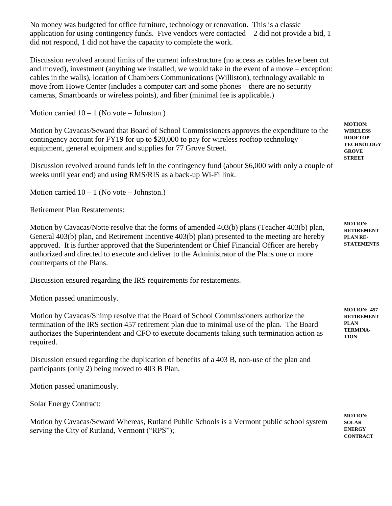No money was budgeted for office furniture, technology or renovation. This is a classic application for using contingency funds. Five vendors were contacted  $-2$  did not provide a bid, 1 did not respond, 1 did not have the capacity to complete the work.

Discussion revolved around limits of the current infrastructure (no access as cables have been cut and moved), investment (anything we installed, we would take in the event of a move – exception: cables in the walls), location of Chambers Communications (Williston), technology available to move from Howe Center (includes a computer cart and some phones – there are no security cameras, Smartboards or wireless points), and fiber (minimal fee is applicable.)

Motion carried  $10 - 1$  (No vote – Johnston.)

Motion by Cavacas/Seward that Board of School Commissioners approves the expenditure to the contingency account for FY19 for up to \$20,000 to pay for wireless rooftop technology equipment, general equipment and supplies for 77 Grove Street.

Discussion revolved around funds left in the contingency fund (about \$6,000 with only a couple of weeks until year end) and using RMS/RIS as a back-up Wi-Fi link.

Motion carried  $10 - 1$  (No vote – Johnston.)

Retirement Plan Restatements:

Motion by Cavacas/Notte resolve that the forms of amended 403(b) plans (Teacher 403(b) plan, General 403(b) plan, and Retirement Incentive 403(b) plan) presented to the meeting are hereby approved. It is further approved that the Superintendent or Chief Financial Officer are hereby authorized and directed to execute and deliver to the Administrator of the Plans one or more counterparts of the Plans.

Discussion ensured regarding the IRS requirements for restatements.

Motion passed unanimously.

Motion by Cavacas/Shimp resolve that the Board of School Commissioners authorize the termination of the IRS section 457 retirement plan due to minimal use of the plan. The Board authorizes the Superintendent and CFO to execute documents taking such termination action as required.

Discussion ensued regarding the duplication of benefits of a 403 B, non-use of the plan and participants (only 2) being moved to 403 B Plan.

Motion passed unanimously.

Solar Energy Contract:

Motion by Cavacas/Seward Whereas, Rutland Public Schools is a Vermont public school system serving the City of Rutland, Vermont ("RPS");

**MOTION: WIRELESS ROOFTOP TECHNOLOGY GROVE STREET**

**MOTION: RETIREMENT PLAN RE-STATEMENTS**

**MOTION: 457 RETIREMENT PLAN TERMINA-TION**

**MOTION: SOLAR ENERGY CONTRACT**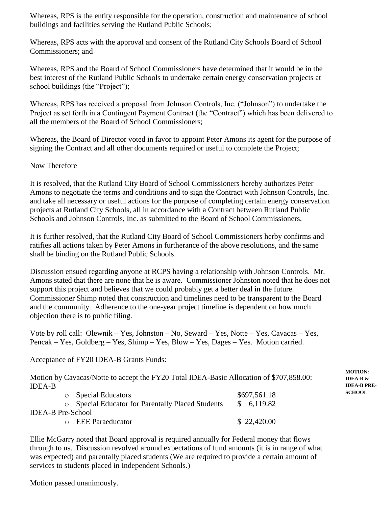Whereas, RPS is the entity responsible for the operation, construction and maintenance of school buildings and facilities serving the Rutland Public Schools;

Whereas, RPS acts with the approval and consent of the Rutland City Schools Board of School Commissioners; and

Whereas, RPS and the Board of School Commissioners have determined that it would be in the best interest of the Rutland Public Schools to undertake certain energy conservation projects at school buildings (the "Project");

Whereas, RPS has received a proposal from Johnson Controls, Inc. ("Johnson") to undertake the Project as set forth in a Contingent Payment Contract (the "Contract") which has been delivered to all the members of the Board of School Commissioners;

Whereas, the Board of Director voted in favor to appoint Peter Amons its agent for the purpose of signing the Contract and all other documents required or useful to complete the Project;

### Now Therefore

It is resolved, that the Rutland City Board of School Commissioners hereby authorizes Peter Amons to negotiate the terms and conditions and to sign the Contract with Johnson Controls, Inc. and take all necessary or useful actions for the purpose of completing certain energy conservation projects at Rutland City Schools, all in accordance with a Contract between Rutland Public Schools and Johnson Controls, Inc. as submitted to the Board of School Commissioners.

It is further resolved, that the Rutland City Board of School Commissioners herby confirms and ratifies all actions taken by Peter Amons in furtherance of the above resolutions, and the same shall be binding on the Rutland Public Schools.

Discussion ensued regarding anyone at RCPS having a relationship with Johnson Controls. Mr. Amons stated that there are none that he is aware. Commissioner Johnston noted that he does not support this project and believes that we could probably get a better deal in the future. Commissioner Shimp noted that construction and timelines need to be transparent to the Board and the community. Adherence to the one-year project timeline is dependent on how much objection there is to public filing.

Vote by roll call: Olewnik – Yes, Johnston – No, Seward – Yes, Notte – Yes, Cavacas – Yes, Pencak – Yes, Goldberg – Yes, Shimp – Yes, Blow – Yes, Dages – Yes. Motion carried.

Acceptance of FY20 IDEA-B Grants Funds:

Motion by Cavacas/Notte to accept the FY20 Total IDEA-Basic Allocation of \$707,858.00: IDEA-B

|                   | <b>Special Educators</b>                               | \$697,561.18 |
|-------------------|--------------------------------------------------------|--------------|
|                   | <b>Special Educator for Parentally Placed Students</b> | \$6,119.82   |
| IDEA-B Pre-School |                                                        |              |
|                   | <b>O</b> EEE Paraeducator                              | \$22,420.00  |

Ellie McGarry noted that Board approval is required annually for Federal money that flows through to us. Discussion revolved around expectations of fund amounts (it is in range of what was expected) and parentally placed students (We are required to provide a certain amount of services to students placed in Independent Schools.)

Motion passed unanimously.

**MOTION: IDEA-B & IDEA-B PRE-SCHOOL**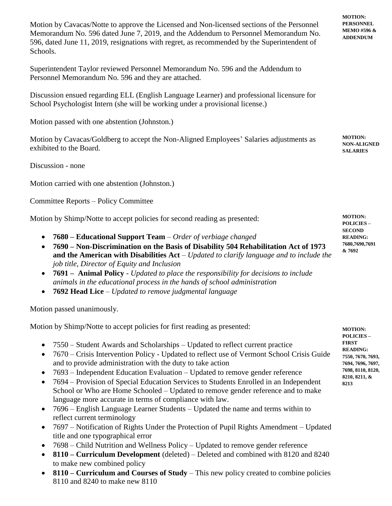Motion by Cavacas/Notte to approve the Licensed and Non-licensed sections of the Personnel Memorandum No. 596 dated June 7, 2019, and the Addendum to Personnel Memorandum No. 596, dated June 11, 2019, resignations with regret, as recommended by the Superintendent of Schools.

Superintendent Taylor reviewed Personnel Memorandum No. 596 and the Addendum to Personnel Memorandum No. 596 and they are attached.

Discussion ensued regarding ELL (English Language Learner) and professional licensure for School Psychologist Intern (she will be working under a provisional license.)

Motion passed with one abstention (Johnston.)

Motion by Cavacas/Goldberg to accept the Non-Aligned Employees' Salaries adjustments as exhibited to the Board.

Discussion - none

Motion carried with one abstention (Johnston.)

Committee Reports – Policy Committee

Motion by Shimp/Notte to accept policies for second reading as presented:

- **7680 – Educational Support Team** *Order of verbiage changed*
- **7690 – Non-Discrimination on the Basis of Disability 504 Rehabilitation Act of 1973 and the American with Disabilities Act** *– Updated to clarify language and to include the job title, Director of Equity and Inclusion*
- **7691 Animal Policy** *Updated to place the responsibility for decisions to include animals in the educational process in the hands of school administration*
- **7692 Head Lice** *Updated to remove judgmental language*

Motion passed unanimously.

Motion by Shimp/Notte to accept policies for first reading as presented:

- 7550 Student Awards and Scholarships Updated to reflect current practice
- 7670 Crisis Intervention Policy Updated to reflect use of Vermont School Crisis Guide and to provide administration with the duty to take action
- 7693 Independent Education Evaluation Updated to remove gender reference
- 7694 Provision of Special Education Services to Students Enrolled in an Independent School or Who are Home Schooled – Updated to remove gender reference and to make language more accurate in terms of compliance with law.
- 7696 English Language Learner Students Updated the name and terms within to reflect current terminology
- 7697 Notification of Rights Under the Protection of Pupil Rights Amendment Updated title and one typographical error
- 7698 Child Nutrition and Wellness Policy Updated to remove gender reference
- **8110 – Curriculum Development** (deleted) Deleted and combined with 8120 and 8240 to make new combined policy
- **8110 – Curriculum and Courses of Study** This new policy created to combine policies 8110 and 8240 to make new 8110

**MOTION: PERSONNEL MEMO #596 & ADDENDUM**

**MOTION: NON-ALIGNED SALARIES**

**MOTION: POLICIES – SECOND READING: 7680,7690,7691 & 7692**

**MOTION: POLICIES – FIRST READING: 7550, 7670, 7693, 7694, 7696, 7697, 7698, 8110, 8120, 8210, 8211, & 8213**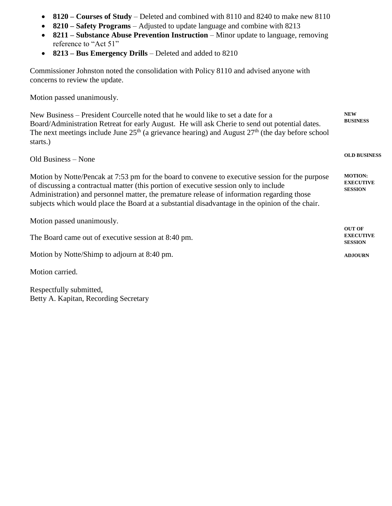- **8120 – Courses of Study** Deleted and combined with 8110 and 8240 to make new 8110
- **8210 – Safety Programs** Adjusted to update language and combine with 8213
- **8211 – Substance Abuse Prevention Instruction** Minor update to language, removing reference to "Act 51"
- **8213 – Bus Emergency Drills** Deleted and added to 8210

Commissioner Johnston noted the consolidation with Policy 8110 and advised anyone with concerns to review the update.

Motion passed unanimously.

New Business – President Courcelle noted that he would like to set a date for a Board/Administration Retreat for early August. He will ask Cherie to send out potential dates. The next meetings include June  $25<sup>th</sup>$  (a grievance hearing) and August  $27<sup>th</sup>$  (the day before school starts.) **NEW BUSINESS**

**OLD BUSINESS**

Old Business – None

Motion by Notte/Pencak at 7:53 pm for the board to convene to executive session for the purpose of discussing a contractual matter (this portion of executive session only to include Administration) and personnel matter, the premature release of information regarding those subjects which would place the Board at a substantial disadvantage in the opinion of the chair. **MOTION: EXECUTIVE SESSION**

| Motion passed unanimously.                          |                                                     |
|-----------------------------------------------------|-----------------------------------------------------|
| The Board came out of executive session at 8:40 pm. | <b>OUT OF</b><br><b>EXECUTIVE</b><br><b>SESSION</b> |
| Motion by Notte/Shimp to adjourn at 8:40 pm.        | <b>ADJOURN</b>                                      |
| Motion carried.                                     |                                                     |

Respectfully submitted, Betty A. Kapitan, Recording Secretary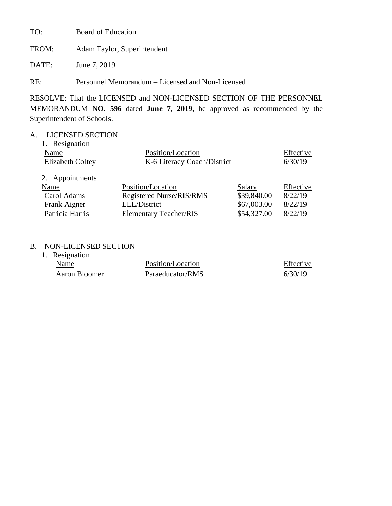TO: Board of Education

FROM: Adam Taylor, Superintendent

DATE: June 7, 2019

RE: Personnel Memorandum – Licensed and Non-Licensed

RESOLVE: That the LICENSED and NON-LICENSED SECTION OF THE PERSONNEL MEMORANDUM **NO. 596** dated **June 7, 2019,** be approved as recommended by the Superintendent of Schools.

# A. LICENSED SECTION

| 1. Resignation          |                               |             |           |
|-------------------------|-------------------------------|-------------|-----------|
| Name                    | Position/Location             |             | Effective |
| <b>Elizabeth Coltey</b> | K-6 Literacy Coach/District   |             | 6/30/19   |
| 2. Appointments         |                               |             |           |
| Name                    | Position/Location             | Salary      | Effective |
| Carol Adams             | Registered Nurse/RIS/RMS      | \$39,840.00 | 8/22/19   |
| Frank Aigner            | ELL/District                  | \$67,003.00 | 8/22/19   |
| Patricia Harris         | <b>Elementary Teacher/RIS</b> | \$54,327.00 | 8/22/19   |

# B. NON-LICENSED SECTION

| 1. Resignation |                   |           |
|----------------|-------------------|-----------|
| Name           | Position/Location | Effective |
| Aaron Bloomer  | Paraeducator/RMS  | 6/30/19   |